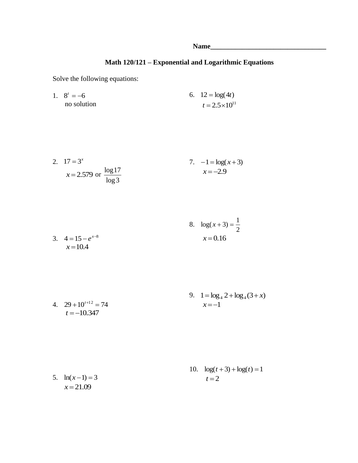## **Math 120/121 – Exponential and Logarithmic Equations**

Solve the following equations:

1.  $8^t = -6$  no solution 6.  $12 = \log(4t)$  $t = 2.5 \times 10^{11}$ 

2. 
$$
17 = 3^x
$$
  
\n $x = 2.579$  or  $\frac{\log 17}{\log 3}$   
\n2.  $17 = 3^x$   
\n $x = -2.9$   
\n $x = -2.9$ 

3. 
$$
4=15-e^{x-8}
$$
  
  $x=10.4$   
8.  $log(x+3) = \frac{1}{2}$   
  $x=0.16$ 

4. 
$$
29+10^{t+12} = 74
$$
  
\n $t = -10.347$   
\n9.  $1 = \log_4 2 + \log_4(3+x)$   
\n $x = -1$ 

5. 
$$
\ln(x-1) = 3
$$
  
  $x = 21.09$   
10.  $\log(t+3) + \log(t) = 1$   
 $t = 2$